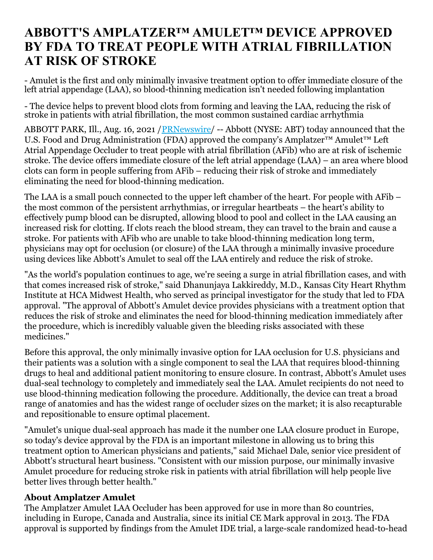## **ABBOTT'S AMPLATZER™ AMULET™ DEVICE APPROVED BY FDA TO TREAT PEOPLE WITH ATRIAL FIBRILLATION AT RISK OF STROKE**

- Amulet is the first and only minimally invasive treatment option to offer immediate closure of the left atrial appendage (LAA), so blood-thinning medication isn't needed following implantation

- The device helps to prevent blood clots from forming and leaving the LAA, reducing the risk of stroke in patients with atrial fibrillation, the most common sustained cardiac arrhythmia

ABBOTT PARK, Ill., Aug. 16, 2021 [/PRNewswire](http://www.prnewswire.com/)/ -- Abbott (NYSE: ABT) today announced that the U.S. Food and Drug Administration (FDA) approved the company's Amplatzer<sup>™</sup> Amulet<sup>™</sup> Left Atrial Appendage Occluder to treat people with atrial fibrillation (AFib) who are at risk of ischemic stroke. The device offers immediate closure of the left atrial appendage (LAA) – an area where blood clots can form in people suffering from AFib – reducing their risk of stroke and immediately eliminating the need for blood-thinning medication.

The LAA is a small pouch connected to the upper left chamber of the heart. For people with AFib – the most common of the persistent arrhythmias, or irregular heartbeats – the heart's ability to effectively pump blood can be disrupted, allowing blood to pool and collect in the LAA causing an increased risk for clotting. If clots reach the blood stream, they can travel to the brain and cause a stroke. For patients with AFib who are unable to take blood-thinning medication long term, physicians may opt for occlusion (or closure) of the LAA through a minimally invasive procedure using devices like Abbott's Amulet to seal off the LAA entirely and reduce the risk of stroke.

"As the world's population continues to age, we're seeing a surge in atrial fibrillation cases, and with that comes increased risk of stroke," said Dhanunjaya Lakkireddy, M.D., Kansas City Heart Rhythm Institute at HCA Midwest Health, who served as principal investigator for the study that led to FDA approval. "The approval of Abbott's Amulet device provides physicians with a treatment option that reduces the risk of stroke and eliminates the need for blood-thinning medication immediately after the procedure, which is incredibly valuable given the bleeding risks associated with these medicines."

Before this approval, the only minimally invasive option for LAA occlusion for U.S. physicians and their patients was a solution with a single component to seal the LAA that requires blood-thinning drugs to heal and additional patient monitoring to ensure closure. In contrast, Abbott's Amulet uses dual-seal technology to completely and immediately seal the LAA. Amulet recipients do not need to use blood-thinning medication following the procedure. Additionally, the device can treat a broad range of anatomies and has the widest range of occluder sizes on the market; it is also recapturable and repositionable to ensure optimal placement.

"Amulet's unique dual-seal approach has made it the number one LAA closure product in Europe, so today's device approval by the FDA is an important milestone in allowing us to bring this treatment option to American physicians and patients," said Michael Dale, senior vice president of Abbott's structural heart business. "Consistent with our mission purpose, our minimally invasive Amulet procedure for reducing stroke risk in patients with atrial fibrillation will help people live better lives through better health."

## **About Amplatzer Amulet**

The Amplatzer Amulet LAA Occluder has been approved for use in more than 80 countries, including in Europe, Canada and Australia, since its initial CE Mark approval in 2013. The FDA approval is supported by findings from the Amulet IDE trial, a large-scale randomized head-to-head